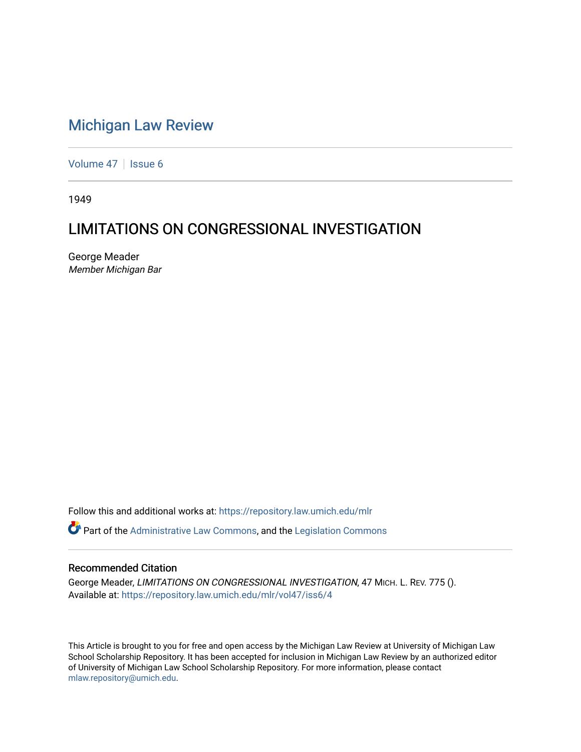# [Michigan Law Review](https://repository.law.umich.edu/mlr)

[Volume 47](https://repository.law.umich.edu/mlr/vol47) | [Issue 6](https://repository.law.umich.edu/mlr/vol47/iss6)

1949

# LIMITATIONS ON CONGRESSIONAL INVESTIGATION

George Meader Member Michigan Bar

Follow this and additional works at: [https://repository.law.umich.edu/mlr](https://repository.law.umich.edu/mlr?utm_source=repository.law.umich.edu%2Fmlr%2Fvol47%2Fiss6%2F4&utm_medium=PDF&utm_campaign=PDFCoverPages) 

Part of the [Administrative Law Commons,](http://network.bepress.com/hgg/discipline/579?utm_source=repository.law.umich.edu%2Fmlr%2Fvol47%2Fiss6%2F4&utm_medium=PDF&utm_campaign=PDFCoverPages) and the [Legislation Commons](http://network.bepress.com/hgg/discipline/859?utm_source=repository.law.umich.edu%2Fmlr%2Fvol47%2Fiss6%2F4&utm_medium=PDF&utm_campaign=PDFCoverPages) 

#### Recommended Citation

George Meader, LIMITATIONS ON CONGRESSIONAL INVESTIGATION, 47 MICH. L. REV. 775 (). Available at: [https://repository.law.umich.edu/mlr/vol47/iss6/4](https://repository.law.umich.edu/mlr/vol47/iss6/4?utm_source=repository.law.umich.edu%2Fmlr%2Fvol47%2Fiss6%2F4&utm_medium=PDF&utm_campaign=PDFCoverPages)

This Article is brought to you for free and open access by the Michigan Law Review at University of Michigan Law School Scholarship Repository. It has been accepted for inclusion in Michigan Law Review by an authorized editor of University of Michigan Law School Scholarship Repository. For more information, please contact [mlaw.repository@umich.edu.](mailto:mlaw.repository@umich.edu)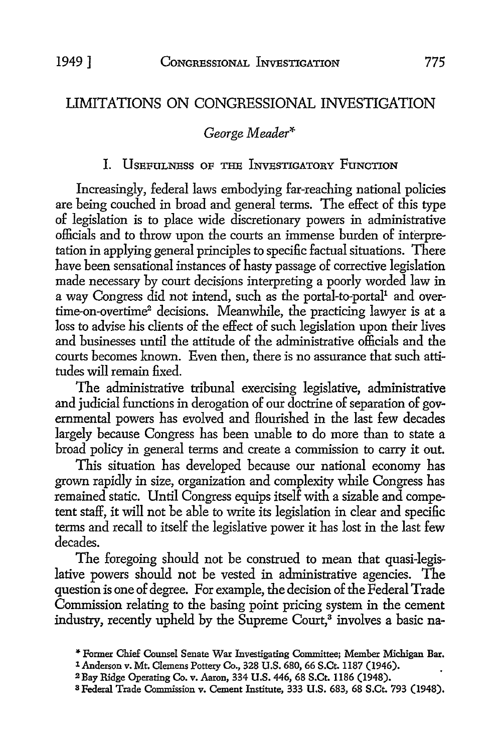# LIMITATIONS ON CONGRESSIONAL INVESTIGATION

## *George Meader\**

### I. USEFULNESS OF THE INVESTIGATORY FUNCTION

Increasingly, federal laws embodying far-reaching national policies are being couched in broad and general terms. The effect of this type of legislation is to place wide discretionary powers in administrative officials and to throw upon the courts an immense burden of interpretation in applying general principles to specific factual situations. There have been sensational instances of hasty passage of corrective legislation made necessary by court decisions interpreting a poorly worded law in a way Congress did not intend, such as the portal-to-portal<sup>1</sup> and overtime-on-overtime<sup>2</sup> decisions. Meanwhile, the practicing lawyer is at a loss to advise his clients of the effect of such legislation upon their lives and businesses until the attitude of the administrative officials and the courts becomes known. Even then, there is no assurance that such attitudes will remain fixed.

The administrative tribunal exercising legislative, administrative and judicial functions in derogation of our doctrine of separation of governmental powers has evolved and flourished in the last few decades largely because Congress has been unable to do more than to state a broad policy in general terms and create a commission to carry it out.

This situation has developed because our national economy has grown rapidly in size, organization and complexity while Congress has remained static. Until Congress equips itself with a sizable and competent staff, it will not be able to write its legislation in clear and specific terms and recall to itself the legislative power it has lost in the last few decades.

The foregoing should not be construed to mean that quasi-legislative powers should not be vested in administrative agencies. The question is one of degree. For example, the decision of the Federal Trade Commission relating to the basing point pricing system in the cement industry, recently upheld by the Supreme Court,<sup>3</sup> involves a basic na-

<sup>,.</sup> Former Chief Counsel Senate War Investigating Committee; Member Michigan Bar. 1 Anderson v. Mt. Clemens Pottery Co., 328 U.S. 680, 66 S.Ct. 1187 (1946).

<sup>2</sup>Bay Ridge Operating Co. v. Aaron, 334 U.S. 446, 68 S.Ct. 1186 (1948).

<sup>3</sup> Federal Trade Commission v. Cement Institute, 333 U.S. 683, 68 S.Ct. 793 (1948).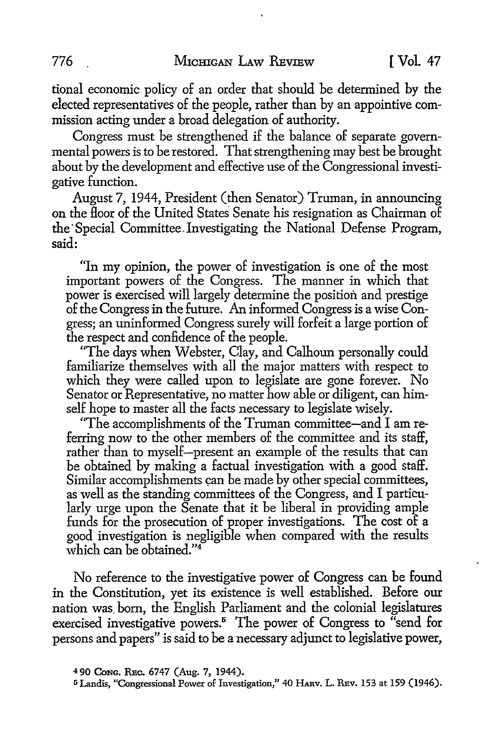tional economic policy of an order that should be determined by the elected representatives of the people, rather than by an appointive commission acting under a broad delegation of authority.

Congress must be strengthened if the balance of separate governmental powers is to be restored. That strengthening may best be brought about by the development and effective use of the Congressional investigative function.

August 7, 1944, President (then Senator) Truman, in announcing on the floor of the United States Senate his resignation as Chairman of the Special Committee. Investigating the National Defense Program, said:

"In my opinion, the power of investigation is one of the most important powers of the Congress. The manner in which that power is exercised will largely determine the position and prestige of the Congress in the future. An informed Congress is a wise Congress; an uninformed Congress surely will forfeit a large portion of the respect and confidence of the people.

"The days when Webster, Clay, and Calhoun personally could familiarize themselves with all the major matters with respect to which they were called upon to legislate are gone forever. No Senator or Representative, no matter how able or diligent, can himself hope to master all the facts necessary to legislate wisely.

"The accomplishments of the Truman committee-and I am referring now to the other members of the committee and its staff, rather than to myself--present an example of the results that can be obtained by making a factual investigation with a good staff. Similar accomplishments can be made by other special committees, as well as the standing committees of the Congress, and I particularly urge upon the Senate that it be liberal in providing ample funds for the prosecution of proper investigations. The cost of a good investigation is negligible when compared with the results which can be obtained."<sup>4</sup>

No reference to the investigative power of Congress can be found in the Constitution, yet its existence is well established. Before our nation was, born, the English Parliament and the colonial legislatures exercised investigative powers.5 The power of Congress to "send for persons and papers" is said to be a necessary adjunct to legislative power,

<sup>4</sup>90 **CoNG,** R:Bc. 6747 (Aug. 7, 1944).

<sup>6</sup> Landis, "Congressional Power of Investigation,'' 40 HARv. L. REv. 153 at 159 (1946).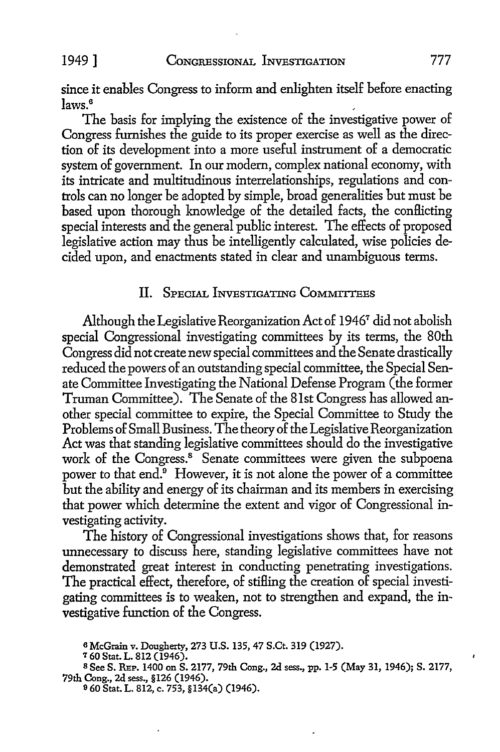since it enables Congress to inform and enlighten itself before enacting  $\frac{1}{2}$  aws.<sup>6</sup>

The basis for implying the existence of the investigative power of Congress furnishes the guide to its proper exercise as well as the direction of its development into a more useful instrument of a democratic system of government. In our modem, complex national economy, with its intricate and multitudinous interrelationships, regulations and controls can no longer be adopted by simple, broad generalities but must be based upon thorough knowledge of the detailed facts, the conflicting special interests and the general public interest. The effects of proposed legislative action may thus be intelligently calculated, wise policies decided upon, and enactments stated in clear and unambiguous terms.

# II. SPECIAL INVESTIGATING COMMITTEES

Although the Legislative Reorganization Act of 1946<sup>7</sup> did not abolish special Congressional investigating committees by its terms, the 80th Congress did not create new special committees and the Senate drastically reduced the powers of an outstanding special committee, the Special Senate Committee Investigating the National Defense Program (the former Truman Committee). The Senate of the 81st Congress has allowed another special committee to expire, the Special Committee to Study the Problems of Small Business. The theory of the Legislative Reorganization Act was that standing legislative committees should do the investigative work of the Congress.<sup>8</sup> Senate committees were given the subpoena power to that end.<sup>9</sup> However, it is not alone the power of a committee but the ability and energy of its chairman and its members in exercising that power which determine the extent and vigor of Congressional investigating activity.

The history of Congressional investigations shows that, for reasons unnecessary to discuss here, standing legislative committees have not demonstrated great interest in conducting penetrating investigations. The practical effect, therefore, of stifling the creation of special investigating committees is to weaken, not to strengthen and expand, the investigative function of the Congress.

<sup>7</sup>60 Stat. L. 812 (1946).

a McGrain v. Dougherty, 273 U.S. 135, 47 S.Ct. 319 (1927).

s See S. REP. 1400 on S. 2177, 79th Cong., 2d sess., pp. 1-5 (May 31, 1946); S. 2177, 79th Cong., 2d sess., §126 (1946).

o 60 Stat. L. 812, c. 753, §134(a) (1946).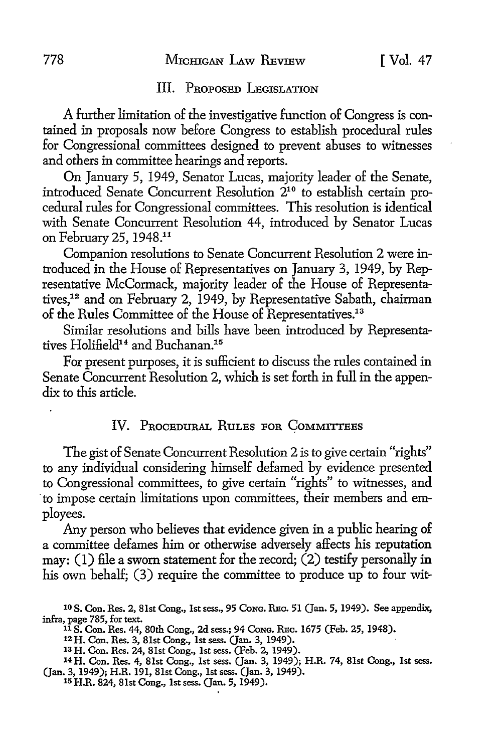#### III. PROPOSED LEGISLATION

A further limitation of the investigative function of Congress is contained in proposals now before Congress to establish procedural rules for Congressional committees designed to prevent abuses to witnesses and others in committee hearings and reports.

On January 5, 1949, Senator Lucas, majority leader of the Senate, introduced Senate Concurrent Resolution 210 to establish certain procedural rules for Congressional committees. This resolution is identical with Senate Concurrent Resolution 44, introduced by Senator Lucas on February 25, 1948.11

Companion resolutions to Senate Concurrent Resolution 2 were introduced in the House of Representatives on January 3, 1949, by Representative McCormack, majority leader of the House of Representatives,12 and on February 2, 1949, by Representative Sabath, chairman of the Rules Committee of the House of Representatives.<sup>13</sup>

Similar resolutions and bills have been introduced by Representatives Holifield14 and Buchanan.15

For present purposes, it is sufficient to discuss the rules contained in Senate Concurrent Resolution 2, which is set forth in full in the appendix to this article.

### IV. PROCEDURAL RULES FOR COMMITTEES

The gist of Senate Concurrent Resolution 2 is to give certain "rights" *to* any individual considering himself defamed by evidence presented to Congressional committees, to give certain "rights" to witnesses, and · to impose certain limitations upon committees, their members and employees.

Any person who believes that evidence given in a public hearing of a committee defames him or otherwise adversely affects his reputation may:  $(1)$  file a sworn statement for the record;  $(2)$  testify personally in his own behalf; (3) require the committee to produce up to four wit-

<sup>10</sup> S. Con. Res. 2, 81st Cong., 1st sess., 95 CoNG. REc. 51 (Jan. 5, 1949). See appendix, infra, page 785, for text.

<sup>11</sup>S. Con. Res. 44, 80th Cong., 2d sess.; 94 CoNG. REc. 1675 (Feb. 25, 1948).

<sup>12</sup> H. Con. Res. 3, 81st Cong., 1st sess. (Jan. 3, 1949).

<sup>13</sup> H. Con. Res. 24, 81st Cong., 1st sess. (Feb. 2, 1949).

<sup>14</sup>H. Con. Res. 4, 81st Cong., 1st sess. (Jan. 3, 1949); H.R. 74, 81st Cong., 1st sess. (Jan. 3, 1949); H.R. 191, 81st Cong., 1st sess. (Jan. 3, 1949). 15 H.R. 824, 81st Cong., 1st sess. (Jan. 5, 1949).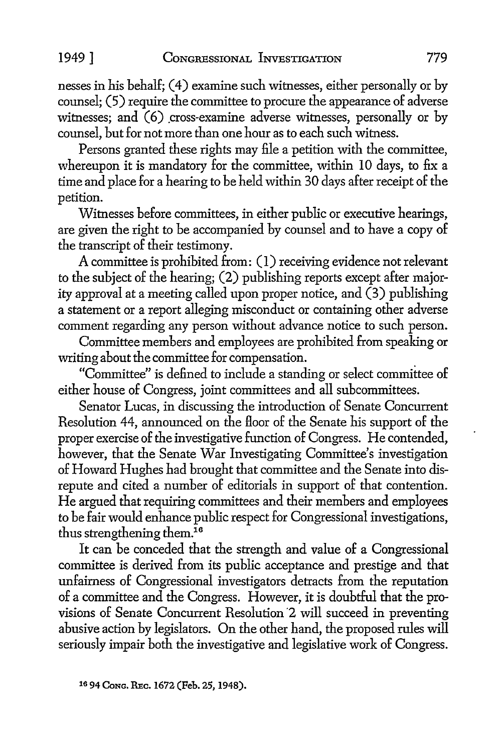nesses in his behalf; ( 4) examine such witnesses, either personally or by counsel; (5) require the committee to procure the appearance of adverse witnesses; and  $(6)$  cross-examine adverse witnesses, personally or by counsel, but for not more than one hour as to each such witness.

Persons granted these rights may file a petition with the committee, whereupon it is mandatory for the committee, within IO days, to fix a time and place for a hearing to be held within 30 days after receipt of the petition.

Witnesses before committees, in either public or executive hearings, are given the right to be accompanied by counsel and to have a copy of the transcript of their testimony.

A committee is prohibited from: (I) receiving evidence not relevant to the subject of the hearing; (2) publishing reports except after majority approval at a meeting called upon proper notice, and (3) publishing a statement or a report alleging misconduct or containing other adverse comment regarding any person without advance notice to such person.

Committee members and employees are prohibited from speaking or writing about the committee for compensation.

"Committee" is defined to include a standing or select committee of either house of Congress, joint committees and all subcommittees.

Senator Lucas, in discussing the introduction of Senate Concurrent Resolution 44, announced on the floor of the Senate his support of the proper exercise of the investigative function of Congress. He contended, however, that the Senate War Investigating Committee's investigation of Howard Hughes had brought that committee and the Senate into disrepute and cited a number of editorials in support of that contention. He argued that requiring committees and their members and employees to be fair would enhance public respect for Congressional investigations, thus strengthening them.<sup>16</sup>

It can be conceded that the strength and value of a Congressional committee is derived from its public acceptance and prestige and that unfairness of Congressional investigators detracts from the reputation of a committee and the Congress. However, it is doubtful that the provisions of Senate Concurrent Resolution ·2 will succeed in preventing abusive action by legislators. On the other hand, the proposed rules will seriously impair both the investigative and legislative work of Congress.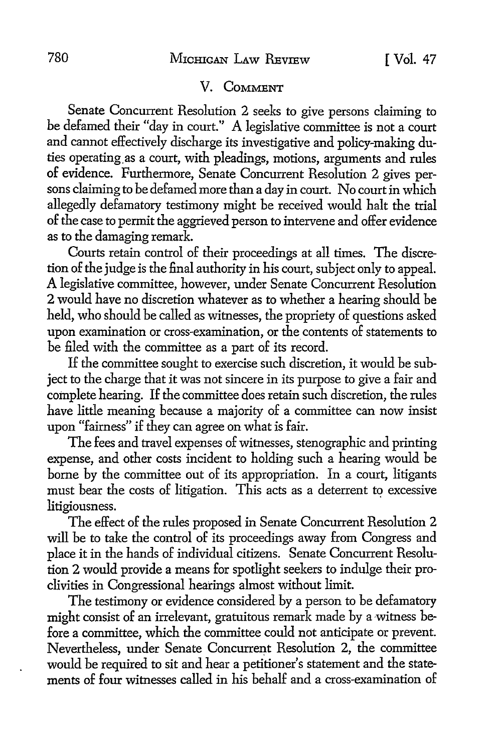## V. COMMENT

Senate Concurrent Resolution 2 seeks to give persons claiming to be defamed their "day in court.'' A legislative committee is not a court and cannot effectively discharge its investigative and policy-making duties operating.as a court, with pleadings, motions, arguments and rules of evidence. Furthermore, Senate Concurrent Resolution 2 gives persons claiming to be defamed more than a day in court. No court in which allegedly defamatory testimony might be received would halt the trial of the case to permit the aggrieved person to intervene and offer evidence as to the damaging remark.

Courts retain control of their proceedings at all times. The discretion of the judge is the final authority in his court, subject only to appeal. A legislative committee, however, under Senate Concurrent Resolution 2 would have no discretion whatever as to whether a hearing should be held, who should be called as witnesses, the propriety of questions asked upon examination or cross-examination, or the contents of statements to be filed with the committee as a part of its record.

If the committee sought to exercise such discretion, it would be subject to the charge that it was not sincere in its purpose to give a fair and complete hearing. If the committee does retain such discretion, the rules have little meaning because a majority of a committee can now insist upon "fairness" if they can agree on what is fair.

The fees and travel expenses of witnesses, stenographic and printing expense, and other costs incident to holding such a hearing would be borne by the committee out of its appropriation. In a court, litigants must bear the costs of litigation. This acts as a deterrent to excessive litigiousness.

The effect of the rules proposed in Senate Concurrent Resolution 2 will be to take the control of its proceedings away from Congress and place it in the hands of individual citizens. Senate Concurrent Resolution 2 would provide a means for spotlight seekers to indulge their proclivities in Congressional hearings almost without limit.

The testimony or evidence considered by a person to be defamatory might consist of an irrelevant, gratuitous remark made by a witness before a committee, which the committee could not anticipate or prevent. Nevertheless, under Senate Concurrent Resolution 2, the committee would be required to sit and hear a petitioner's statement and the statements of four witnesses called in his behalf and a cross-examination of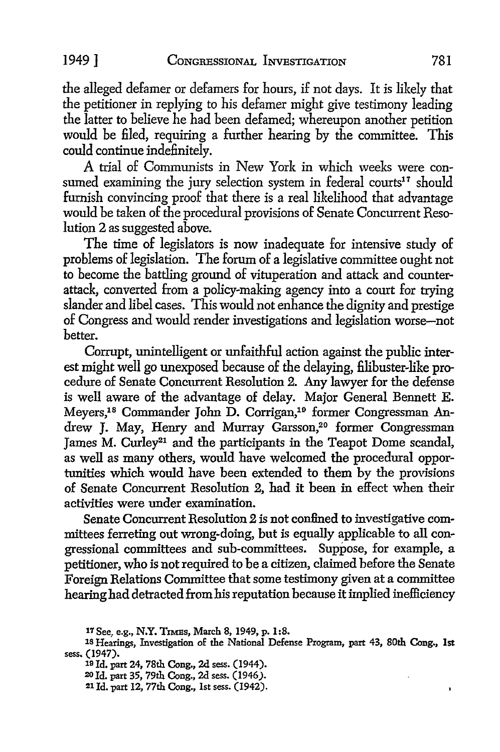the alleged defamer or defamers for hours, if not days. It is likely that the petitioner in replying to his defamer might give testimony leading the latter to believe he had been defamed; whereupon another petition would be filed, requiring a further hearing by the committee. This could continue indefinitely.

A trial of Communists in New York in which weeks were consumed examining the jury selection system in federal courts<sup>17</sup> should furnish convincing proof that there is a real likelihood that advantage would be taken of the procedural provisions of Senate Concurrent Resolution 2 as suggested above.

The time of legislators is now inadequate for intensive study of problems of legislation. The forum of a legislative committee ought not to become the battling ground of vituperation and attack and counterattack, converted from a policy-making agency into a court for trying slander and libel cases. This would not enhance the dignity and prestige of Congress and would render investigations and legislation worse-not better.

Corrupt, unintelligent or unfaithful action against the public interest might well go unexposed because of the delaying, filibuster-like procedure of Senate Concurrent Resolution 2. Any lawyer for the defense is well aware of the advantage of delay. Major General Bennett E. Meyers,18 Commander John D. Corrigan,1° former Congressman Andrew J. May, Henry and Murray Garsson,<sup>20</sup> former Congressman James M. Curley<sup>21</sup> and the participants in the Teapot Dome scandal, as well as many others, would have welcomed the procedural opportunities which would have been extended to them by the provisions of Senate Concurrent Resolution 2, had it been in effect when their activities were under examination.

Senate Concurrent Resolution 2 is not confined to investigative committees ferreting out wrong-doing, but is equally applicable to all congressional committees and sub-committees. Suppose, for example, a petitioner, who is not required to be a citizen, claimed before the Senate Foreign Relations Committee that some testimony given at a committee hearing had detracted from his reputation because it implied inefficiency

 $\mathbf{r}$ 

<sup>17</sup> See, e.g., **N.Y.** TIMEs, March 8, 1949, p. **1** :8.

<sup>18</sup> Hearings, Investigation of the National Defense Program, part 43, 80th Cong., 1st sess. (1947).

<sup>19</sup> Id. part 24, 78th Cong., 2d sess. (1944).

<sup>20</sup> Id. part 35, 79th Cong., 2d sess. (1946).

<sup>21</sup> Id. part 12, 77th Cong., 1st sess. (1942).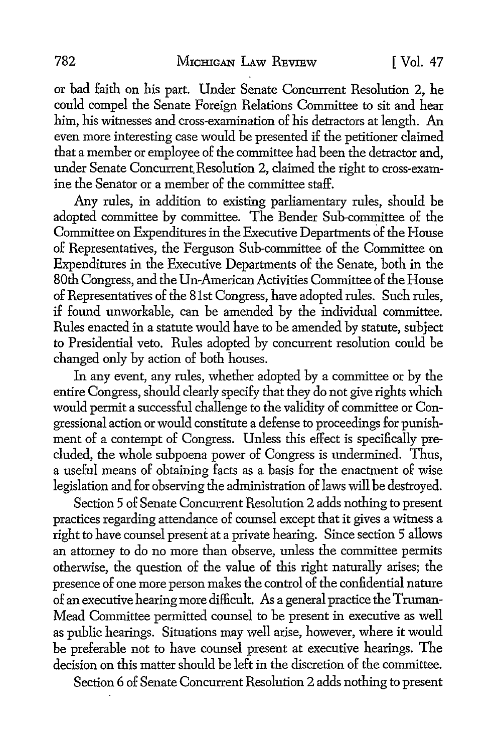or bad faith on his part. Under Senate Concurrent Resolution 2, he could compel the Senate Foreign Relations Committee to sit and hear him, his witnesses and cross-examination of his detractors at length. An even more interesting case would be presented if the petitioner claimed that a member or employee of the committee had been the detractor and, under Senate Concurrent. Resolution 2, claimed the right to cross-examine the Senator or a member of the committee staff.

Any rules, in addition to existing parliamentary rules, should be adopted committee by committee. The Bender Sub-committee of the Committee on Expenditures in the Executive Departments of the House of Representatives, the Ferguson Sub-committee of the Committee on Expenditures in the Executive Departments of the Senate, both in the 80th Congress, and the Un-American Activities Committee of the House of Representatives of the 81st Congress, have adopted rules. Such rules, if found unworkable, can be amended by the individual committee. Rules enacted in a statute would have to be amended by statute, subject to Presidential veto. Rules adopted by concurrent resolution could be changed only by action of both houses.

In any event, any rules, whether adopted by a committee or by the entire Congress, should clearly specify that they do not give rights which would permit a successful challenge to the validity of committee or Congressional action or would constitute a defense to proceedings for punishment of a contempt of Congress. Unless this effect is specifically precluded, the whole subpoena power of Congress is undermined. Thus, a useful means of obtaining facts as a basis for the enactment of wise legislation and for observing the administration of laws will be destroyed.

Section 5 of Senate Concurrent Resolution 2 adds nothing to present practices regarding attendance of counsel except that it gives a witness a right to have counsel present at a private hearing. Since section 5 allows an attorney to do no more than observe, unless the committee permits otherwise, the question of the value of this right naturally arises; the presence of one more person makes the control of the confidential nature of an executive hearing more difficult. As a general practice the Truman-Mead Committee permitted counsel to be present in executive as well as public hearings. Situations may well arise, however, where it would be preferable not to have counsel present at executive hearings. The decision on this matter should be left in the discretion of the committee.

Section 6 of Senate Concurrent Resolution 2 adds nothing to present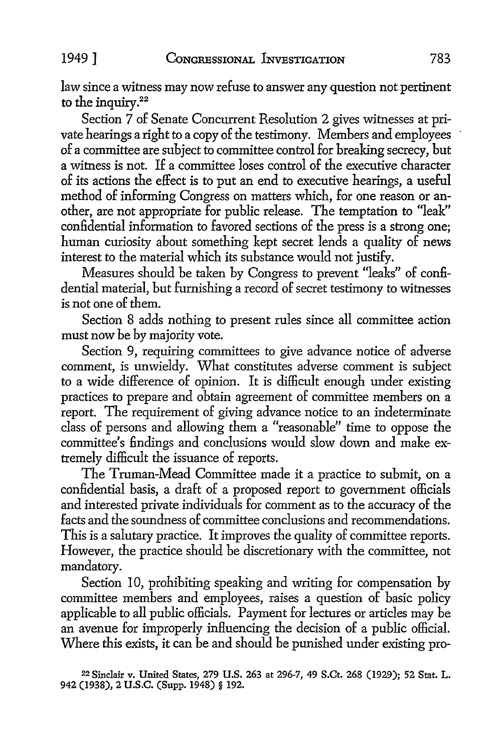law since a witness may now refuse to answer any question not pertinent to the inquiry.<sup>22</sup>

Section 7 of Senate Concurrent Resolution 2 gives witnesses at private hearings a right to a copy of the testimony. Members and employees of a committee are subject to committee control for breaking secrecy, but a witness is not. If a committee loses control of the executive character of its actions the effect is to put an end to executive hearings, a useful method of informing Congress on matters which, for one reason or another, are not appropriate for public release. The temptation to "leak" confidential information to favored sections of the press is a strong one; human curiosity about something kept secret lends a quality of news interest to the material which its substance would not justify.

Measures should be taken by Congress to prevent "leaks" of confidential material, but furnishing a record of secret testimony to witnesses is not one of them.

Section 8 adds nothing to present rules since all committee action must now be by majority vote.

Section 9, requiring committees to give advance notice of adverse comment, is unwieldy. What constitutes adverse comment is subject to a wide difference of opinion. It is difficult enough under existing practices to prepare and obtain agreement of committee members on a report. The requirement of giving advance notice to an indeterminate class of persons and allowing them a "reasonable" time to oppose the committee's findings and conclusions would slow down and make extremely difficult the issuance of reports.

The Truman-Mead Committee made it a practice to submit, on a confidential basis, a draft of a proposed report to government officials and interested private individuals for comment as to the accuracy of the facts and the soundness of committee conclusions and recommendations. This is a salutary practice. It improves the quality of committee reports. However, the practice should be discretionary with the committee, not mandatory.

Section 10, prohibiting speaking and writing for compensation by committee members and employees, raises a question of basic policy applicable to all public officials. Payment for lectures or articles may be an avenue for improperly influencing the decision of a public official. Where this exists, it can be and should be punished under existing pro-

22 Sinclair v. United States, 279 U.S. 263 at 296-7, 49 S.Ct. 268 (1929); 52 Stat. L. 942 (1938), 2 U.S.C. (Supp. 1948) § 192.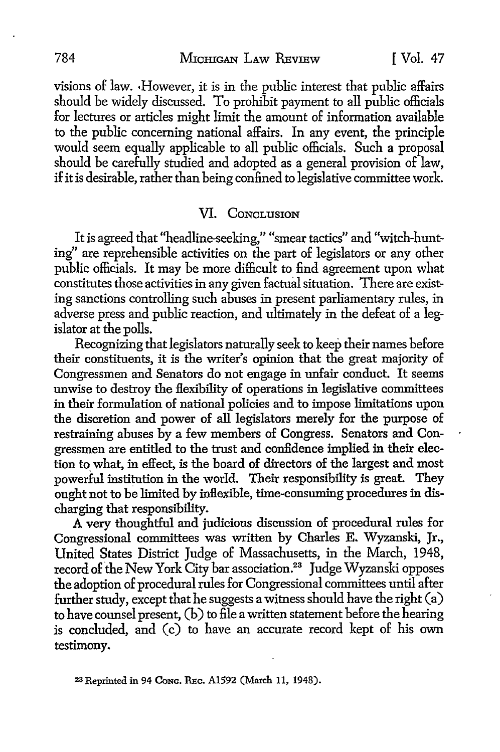#### 784 MICHIGAN LAW REVIEW [ Vol. 47

visions of law. ,However, it is in the public interest that public affairs should be widely discussed. To prohibit payment to all public officials for lectures or articles might limit the amount of information available to the public concerning national affairs. In any event, the principle would seem equally applicable to all public officials. Such a proposal should be carefully studied and adopted as a general provision of law, if it is desirable, rather than being confined to legislative committee work.

#### VI. CONCLUSION

It is agreed that "headline-seeking," "smear tactics" and "witch-hunting" are reprehensible activities on the part of legislators or any other public officials. It may be more difficult to find agreement upon what constitutes those activities in any given factual situation. There are existing sanctions controlling such abuses in present parliamentary rules, in adverse press and public reaction, and ultimately in the defeat of a legislator at the polls.

Recognizing that legislators naturally seek to keep their names before their constituents, it is the writer's opinion that the great majority of Congressmen and Senators do not engage in unfair conduct. It seems unwise to destroy the flexibility of operations in legislative committees in their formulation of national policies and to impose limitations upon the discretion and power of all legislators merely for the purpose of restraining abuses by a few members of Congress. Senators and Congressmen are entitled to the trust and confidence implied in their election to what, in effect, is the board of directors of the largest and most powerful institution in the world. Their responsibility is great. They ought not to be limited by inflexible, time-consuming procedures in discharging that responsibility.

A very thoughtful and judicious discussion of procedural rules for Congressional committees was written by Charles E. Wyzanski, Jr., United States District Judge of Massachusetts, in the March, 1948, record of the New York City bar association.<sup>23</sup> Judge Wyzanski opposes the adoption of procedural rules for Congressional committees until after further study, except that he suggests a witness should have the right (a) to have counsel present, (b) to file a written statement before the hearing is concluded, and (c) to have an accurate record kept of his own testimony.

23 Reprinted in 94 **CoNG.** REc. Al592 (March 11, 1948).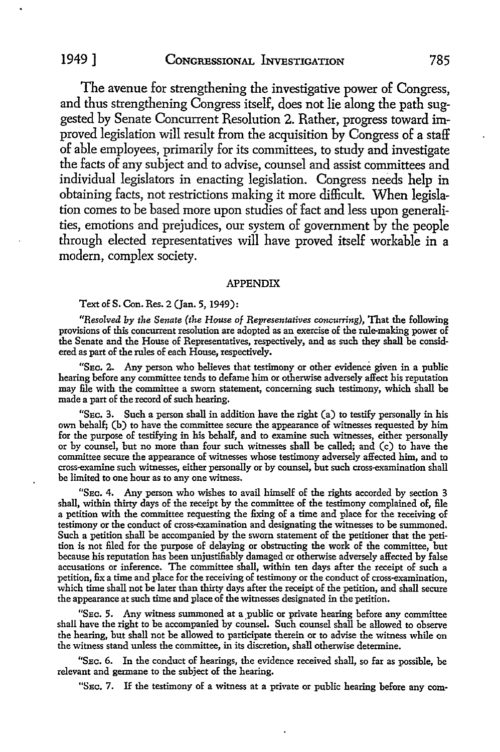The avenue for strengthening the investigative power of Congress, and thus strengthening Congress itself, does not lie along the path suggested by Senate Concurrent Resolution 2. Rather, progress toward improved legislation will result from the acquisition by Congress of a staff of able employees, primarily for its committees, to study and investigate the facts of any subject and to advise, counsel and assist committees and individual legislators in enacting legislation. Congress needs help in obtaining facts, not restrictions making it more difficult. When legislation comes to be based more upon studies of fact and less upon generalities, emotions and prejudices, our system of government by the people through elected representatives will have proved itself workable in a modem, complex society.

#### **APPENDIX**

#### Text of S. Con. Res. 2 (Jan. 5, 1949):

*"Resolved by the Senate (the House of Representatives concurring),* That the following provisions of this concurrent resolution are adopted as an exercise of the rule-making power of the Senate and the House of Representatives, respectively, and as such they shall be considered as part of the rules of each House, respectively.

"SEc. 2. Any person who believes that testimony or other evidence given in a public hearing before any committee tends to defame him or otherwise adversely affect his reputation may file with the committee a sworn statement, concerning such testimony, which shall be made a part of the record of such hearing.

"SEc. 3. Such a person shall in addition have the right (a) to testify personally in his own behalf; (b) to have the committee secure the appearance of witnesses requested by him for the purpose of testifying in his behalf, and to examine such witnesses, either personally or by counsel, but no more than four such witnesses shall be called; and (c) to have the committee secure the appearance of witnesses whose testimony adversely affected him, and to cross-examine such witnesses, either personally or by counsel, but such cross-examination shall be limited to one hour as to any one witness.

"SEc. 4. Any person who wishes to avail himself of the rights accorded by section 3 shall, within thirty days of the receipt by the committee of the testimony complained of, file a petition with the committee requesting the fixing of a time and place for the receiving of testimony or the conduct of cross-examination and designating the witnesses to be summoned. Such a petition shall be accompanied by the sworn statement of the petitioner that the petition is not filed for the purpose of delaying or obstructing the work of the committee, but because his reputation has been unjustifiably damaged or otherwise adversely affected by false accusations or inference. The committee shall, within ten days after the receipt of such a petition, fix a time and place for the receiving of testimony or the conduct of cross-examination, which time shall not be later than thirty days after the receipt of the petition, and shall secure the appearance at such time and place of the witnesses designated in the petition.

"SEc. 5. Any witness summoned at a \_public or private hearing before any committee shall have the right to be accompanied by counsel. Such counsel shall be allowed to observe the hearing, but shall not be allowed to participate therein or to advise the witness while on the witness stand unless the committee, in its discretion, shall otherwise determine.

"SEc. 6. In the conduct of hearings, the evidence received shall, so far as possible, be relevant and germane to the subject of the bearing.

"SEC. 7. If the testimony of a witness at a private or public hearing before any com-